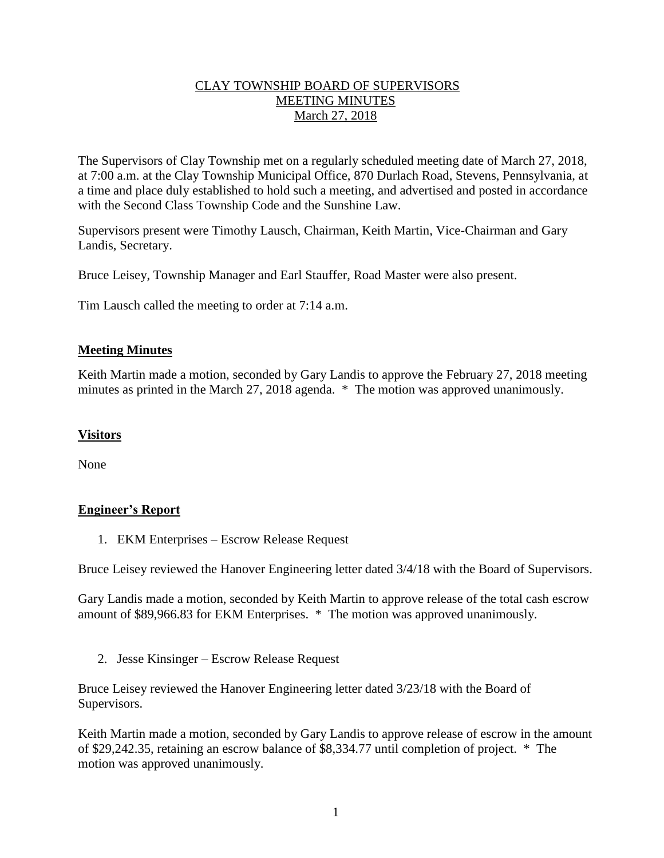# CLAY TOWNSHIP BOARD OF SUPERVISORS MEETING MINUTES March 27, 2018

The Supervisors of Clay Township met on a regularly scheduled meeting date of March 27, 2018, at 7:00 a.m. at the Clay Township Municipal Office, 870 Durlach Road, Stevens, Pennsylvania, at a time and place duly established to hold such a meeting, and advertised and posted in accordance with the Second Class Township Code and the Sunshine Law.

Supervisors present were Timothy Lausch, Chairman, Keith Martin, Vice-Chairman and Gary Landis, Secretary.

Bruce Leisey, Township Manager and Earl Stauffer, Road Master were also present.

Tim Lausch called the meeting to order at 7:14 a.m.

## **Meeting Minutes**

Keith Martin made a motion, seconded by Gary Landis to approve the February 27, 2018 meeting minutes as printed in the March 27, 2018 agenda. \* The motion was approved unanimously.

# **Visitors**

None

# **Engineer's Report**

1. EKM Enterprises – Escrow Release Request

Bruce Leisey reviewed the Hanover Engineering letter dated 3/4/18 with the Board of Supervisors.

Gary Landis made a motion, seconded by Keith Martin to approve release of the total cash escrow amount of \$89,966.83 for EKM Enterprises. \* The motion was approved unanimously.

2. Jesse Kinsinger – Escrow Release Request

Bruce Leisey reviewed the Hanover Engineering letter dated 3/23/18 with the Board of Supervisors.

Keith Martin made a motion, seconded by Gary Landis to approve release of escrow in the amount of \$29,242.35, retaining an escrow balance of \$8,334.77 until completion of project. \* The motion was approved unanimously.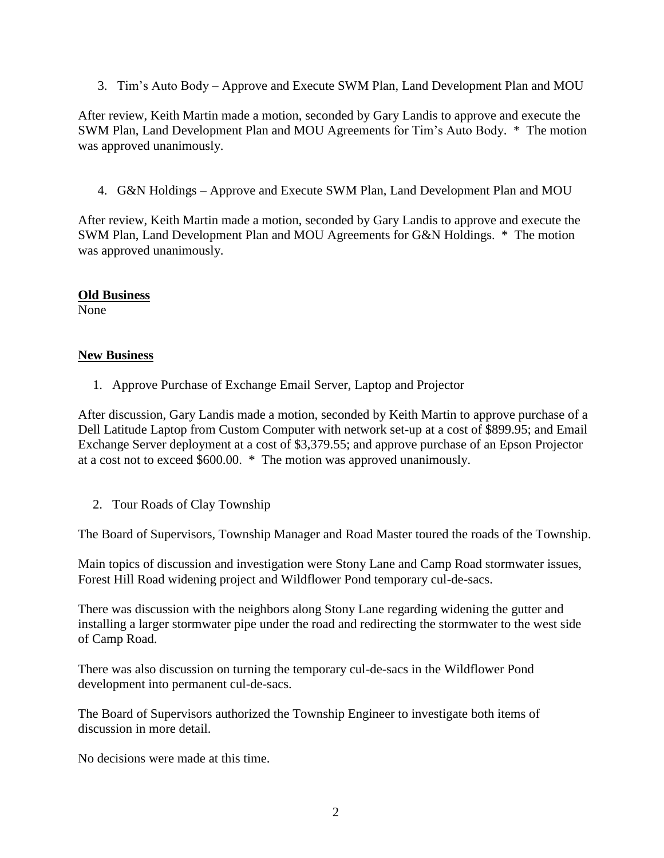3. Tim's Auto Body – Approve and Execute SWM Plan, Land Development Plan and MOU

After review, Keith Martin made a motion, seconded by Gary Landis to approve and execute the SWM Plan, Land Development Plan and MOU Agreements for Tim's Auto Body. \* The motion was approved unanimously.

4. G&N Holdings – Approve and Execute SWM Plan, Land Development Plan and MOU

After review, Keith Martin made a motion, seconded by Gary Landis to approve and execute the SWM Plan, Land Development Plan and MOU Agreements for G&N Holdings. \* The motion was approved unanimously.

#### **Old Business**

None

### **New Business**

1. Approve Purchase of Exchange Email Server, Laptop and Projector

After discussion, Gary Landis made a motion, seconded by Keith Martin to approve purchase of a Dell Latitude Laptop from Custom Computer with network set-up at a cost of \$899.95; and Email Exchange Server deployment at a cost of \$3,379.55; and approve purchase of an Epson Projector at a cost not to exceed \$600.00. \* The motion was approved unanimously.

2. Tour Roads of Clay Township

The Board of Supervisors, Township Manager and Road Master toured the roads of the Township.

Main topics of discussion and investigation were Stony Lane and Camp Road stormwater issues, Forest Hill Road widening project and Wildflower Pond temporary cul-de-sacs.

There was discussion with the neighbors along Stony Lane regarding widening the gutter and installing a larger stormwater pipe under the road and redirecting the stormwater to the west side of Camp Road.

There was also discussion on turning the temporary cul-de-sacs in the Wildflower Pond development into permanent cul-de-sacs.

The Board of Supervisors authorized the Township Engineer to investigate both items of discussion in more detail.

No decisions were made at this time.